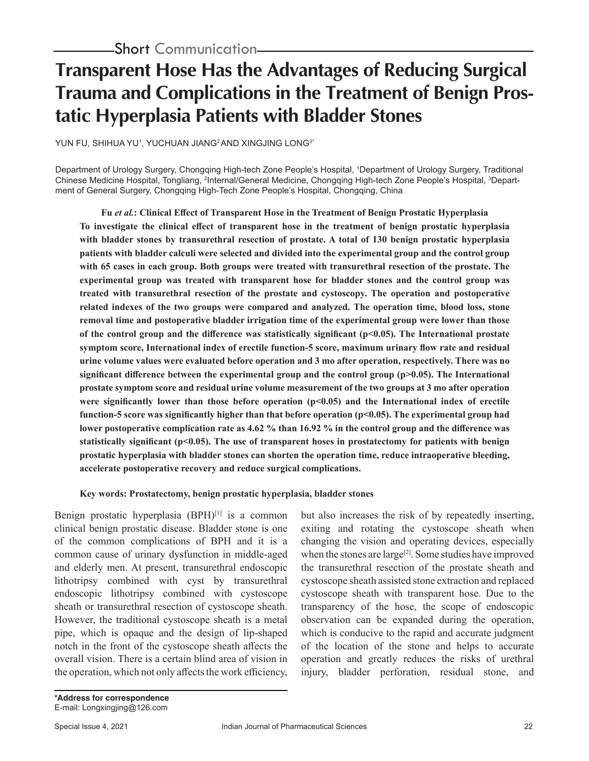# **Transparent Hose Has the Advantages of Reducing Surgical Trauma and Complications in the Treatment of Benign Prostatic Hyperplasia Patients with Bladder Stones**

YUN FU, SHIHUA YU', YUCHUAN JIANG<sup>2</sup> AND XINGJING LONG<sup>3\*</sup>

Department of Urology Surgery, Chongqing High-tech Zone People's Hospital, 1 Department of Urology Surgery, Traditional Chinese Medicine Hospital, Tongliang, <sup>2</sup>Internal/General Medicine, Chongqing High-tech Zone People's Hospital, <sup>3</sup>Department of General Surgery, Chongqing High-Tech Zone People's Hospital, Chongqing, China

**Fu** *et al.***: Clinical Effect of Transparent Hose in the Treatment of Benign Prostatic Hyperplasia To investigate the clinical effect of transparent hose in the treatment of benign prostatic hyperplasia with bladder stones by transurethral resection of prostate. A total of 130 benign prostatic hyperplasia patients with bladder calculi were selected and divided into the experimental group and the control group with 65 cases in each group. Both groups were treated with transurethral resection of the prostate. The experimental group was treated with transparent hose for bladder stones and the control group was treated with transurethral resection of the prostate and cystoscopy. The operation and postoperative related indexes of the two groups were compared and analyzed. The operation time, blood loss, stone removal time and postoperative bladder irrigation time of the experimental group were lower than those of the control group and the difference was statistically significant (p<0.05). The International prostate symptom score, International index of erectile function-5 score, maximum urinary flow rate and residual urine volume values were evaluated before operation and 3 mo after operation, respectively. There was no significant difference between the experimental group and the control group (p>0.05). The International prostate symptom score and residual urine volume measurement of the two groups at 3 mo after operation**  were significantly lower than those before operation ( $p<0.05$ ) and the International index of erectile **function-5 score was significantly higher than that before operation (p<0.05). The experimental group had lower postoperative complication rate as 4.62 % than 16.92 % in the control group and the difference was statistically significant (p<0.05). The use of transparent hoses in prostatectomy for patients with benign prostatic hyperplasia with bladder stones can shorten the operation time, reduce intraoperative bleeding, accelerate postoperative recovery and reduce surgical complications.**

#### **Key words: Prostatectomy, benign prostatic hyperplasia, bladder stones**

Benign prostatic hyperplasia  $(BPH)^{[1]}$  is a common clinical benign prostatic disease. Bladder stone is one of the common complications of BPH and it is a common cause of urinary dysfunction in middle-aged and elderly men. At present, transurethral endoscopic lithotripsy combined with cyst by transurethral endoscopic lithotripsy combined with cystoscope sheath or transurethral resection of cystoscope sheath. However, the traditional cystoscope sheath is a metal pipe, which is opaque and the design of lip-shaped notch in the front of the cystoscope sheath affects the overall vision. There is a certain blind area of vision in the operation, which not only affects the work efficiency,

but also increases the risk of by repeatedly inserting, exiting and rotating the cystoscope sheath when changing the vision and operating devices, especially when the stones are large<sup>[2]</sup>. Some studies have improved the transurethral resection of the prostate sheath and cystoscope sheath assisted stone extraction and replaced cystoscope sheath with transparent hose. Due to the transparency of the hose, the scope of endoscopic observation can be expanded during the operation, which is conducive to the rapid and accurate judgment of the location of the stone and helps to accurate operation and greatly reduces the risks of urethral injury, bladder perforation, residual stone, and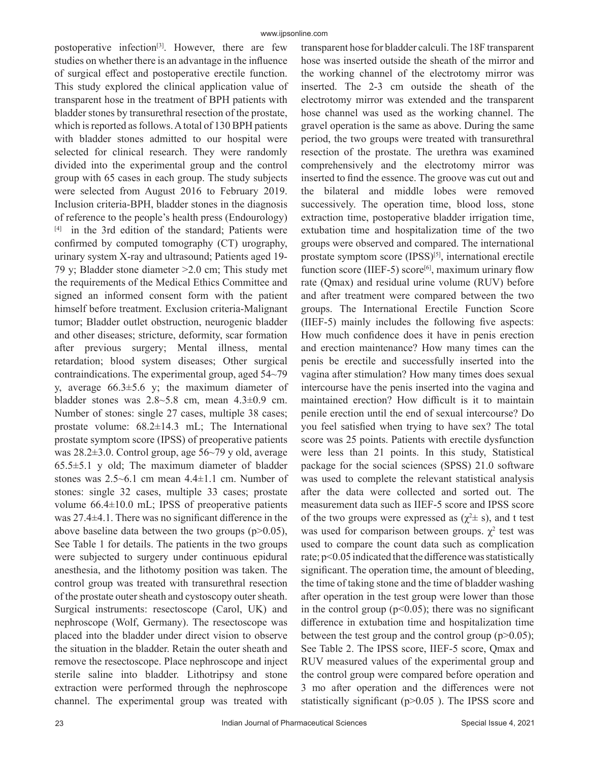postoperative infection<sup>[3]</sup>. However, there are few studies on whether there is an advantage in the influence of surgical effect and postoperative erectile function. This study explored the clinical application value of transparent hose in the treatment of BPH patients with bladder stones by transurethral resection of the prostate, which is reported as follows. A total of 130 BPH patients with bladder stones admitted to our hospital were selected for clinical research. They were randomly divided into the experimental group and the control group with 65 cases in each group. The study subjects were selected from August 2016 to February 2019. Inclusion criteria-BPH, bladder stones in the diagnosis of reference to the people's health press (Endourology) [4] in the 3rd edition of the standard; Patients were confirmed by computed tomography (CT) urography, urinary system X-ray and ultrasound; Patients aged 19- 79 y; Bladder stone diameter >2.0 cm; This study met the requirements of the Medical Ethics Committee and signed an informed consent form with the patient himself before treatment. Exclusion criteria-Malignant tumor; Bladder outlet obstruction, neurogenic bladder and other diseases; stricture, deformity, scar formation after previous surgery; Mental illness, mental retardation; blood system diseases; Other surgical contraindications. The experimental group, aged 54~79 y, average  $66.3 \pm 5.6$  y; the maximum diameter of bladder stones was 2.8~5.8 cm, mean 4.3±0.9 cm. Number of stones: single 27 cases, multiple 38 cases; prostate volume: 68.2±14.3 mL; The International prostate symptom score (IPSS) of preoperative patients was 28.2±3.0. Control group, age 56~79 y old, average  $65.5\pm5.1$  y old; The maximum diameter of bladder stones was 2.5~6.1 cm mean 4.4±1.1 cm. Number of stones: single 32 cases, multiple 33 cases; prostate volume 66.4±10.0 mL; IPSS of preoperative patients was 27.4±4.1. There was no significant difference in the above baseline data between the two groups  $(p>0.05)$ , See Table 1 for details. The patients in the two groups were subjected to surgery under continuous epidural anesthesia, and the lithotomy position was taken. The control group was treated with transurethral resection of the prostate outer sheath and cystoscopy outer sheath. Surgical instruments: resectoscope (Carol, UK) and nephroscope (Wolf, Germany). The resectoscope was placed into the bladder under direct vision to observe the situation in the bladder. Retain the outer sheath and remove the resectoscope. Place nephroscope and inject sterile saline into bladder. Lithotripsy and stone extraction were performed through the nephroscope channel. The experimental group was treated with

hose was inserted outside the sheath of the mirror and the working channel of the electrotomy mirror was inserted. The 2-3 cm outside the sheath of the electrotomy mirror was extended and the transparent hose channel was used as the working channel. The gravel operation is the same as above. During the same period, the two groups were treated with transurethral resection of the prostate. The urethra was examined comprehensively and the electrotomy mirror was inserted to find the essence. The groove was cut out and the bilateral and middle lobes were removed successively. The operation time, blood loss, stone extraction time, postoperative bladder irrigation time, extubation time and hospitalization time of the two groups were observed and compared. The international prostate symptom score (IPSS)<sup>[5]</sup>, international erectile function score (IIEF-5) score<sup>[6]</sup>, maximum urinary flow rate (Qmax) and residual urine volume (RUV) before and after treatment were compared between the two groups. The International Erectile Function Score (IIEF-5) mainly includes the following five aspects: How much confidence does it have in penis erection and erection maintenance? How many times can the penis be erectile and successfully inserted into the vagina after stimulation? How many times does sexual intercourse have the penis inserted into the vagina and maintained erection? How difficult is it to maintain penile erection until the end of sexual intercourse? Do you feel satisfied when trying to have sex? The total score was 25 points. Patients with erectile dysfunction were less than 21 points. In this study, Statistical package for the social sciences (SPSS) 21.0 software was used to complete the relevant statistical analysis after the data were collected and sorted out. The measurement data such as IIEF-5 score and IPSS score of the two groups were expressed as  $(\chi^2 \pm s)$ , and t test was used for comparison between groups.  $\chi^2$  test was used to compare the count data such as complication rate; p<0.05 indicated that the difference was statistically significant. The operation time, the amount of bleeding, the time of taking stone and the time of bladder washing after operation in the test group were lower than those in the control group ( $p<0.05$ ); there was no significant difference in extubation time and hospitalization time between the test group and the control group  $(p>0.05)$ ; See Table 2. The IPSS score, IIEF-5 score, Qmax and RUV measured values of the experimental group and the control group were compared before operation and 3 mo after operation and the differences were not statistically significant (p>0.05 ). The IPSS score and

transparent hose for bladder calculi. The 18F transparent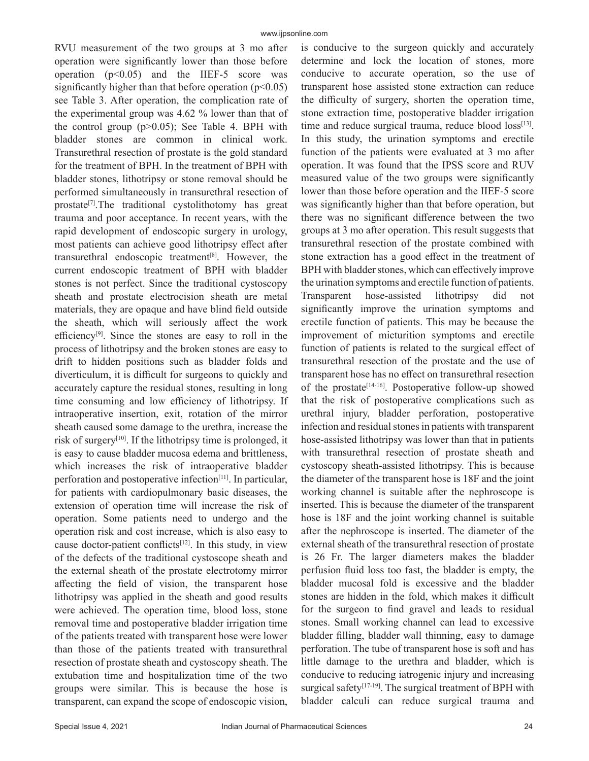RVU measurement of the two groups at 3 mo after operation were significantly lower than those before operation  $(p<0.05)$  and the IIEF-5 score was significantly higher than that before operation  $(p<0.05)$ see Table 3. After operation, the complication rate of the experimental group was 4.62 % lower than that of the control group (p>0.05); See Table 4. BPH with bladder stones are common in clinical work. Transurethral resection of prostate is the gold standard for the treatment of BPH. In the treatment of BPH with bladder stones, lithotripsy or stone removal should be performed simultaneously in transurethral resection of prostate<sup>[7]</sup>.The traditional cystolithotomy has great trauma and poor acceptance. In recent years, with the rapid development of endoscopic surgery in urology, most patients can achieve good lithotripsy effect after transurethral endoscopic treatment[8]. However, the current endoscopic treatment of BPH with bladder stones is not perfect. Since the traditional cystoscopy sheath and prostate electrocision sheath are metal materials, they are opaque and have blind field outside the sheath, which will seriously affect the work efficiency<sup>[9]</sup>. Since the stones are easy to roll in the process of lithotripsy and the broken stones are easy to drift to hidden positions such as bladder folds and diverticulum, it is difficult for surgeons to quickly and accurately capture the residual stones, resulting in long time consuming and low efficiency of lithotripsy. If intraoperative insertion, exit, rotation of the mirror sheath caused some damage to the urethra, increase the risk of surgery<sup>[10]</sup>. If the lithotripsy time is prolonged, it is easy to cause bladder mucosa edema and brittleness, which increases the risk of intraoperative bladder perforation and postoperative infection<sup>[11]</sup>. In particular, for patients with cardiopulmonary basic diseases, the extension of operation time will increase the risk of operation. Some patients need to undergo and the operation risk and cost increase, which is also easy to cause doctor-patient conflicts<sup>[12]</sup>. In this study, in view of the defects of the traditional cystoscope sheath and the external sheath of the prostate electrotomy mirror affecting the field of vision, the transparent hose lithotripsy was applied in the sheath and good results were achieved. The operation time, blood loss, stone removal time and postoperative bladder irrigation time of the patients treated with transparent hose were lower than those of the patients treated with transurethral resection of prostate sheath and cystoscopy sheath. The extubation time and hospitalization time of the two groups were similar. This is because the hose is transparent, can expand the scope of endoscopic vision, is conducive to the surgeon quickly and accurately determine and lock the location of stones, more conducive to accurate operation, so the use of transparent hose assisted stone extraction can reduce the difficulty of surgery, shorten the operation time, stone extraction time, postoperative bladder irrigation time and reduce surgical trauma, reduce blood  $loss^{[13]}$ . In this study, the urination symptoms and erectile function of the patients were evaluated at 3 mo after operation. It was found that the IPSS score and RUV measured value of the two groups were significantly lower than those before operation and the IIEF-5 score was significantly higher than that before operation, but there was no significant difference between the two groups at 3 mo after operation. This result suggests that transurethral resection of the prostate combined with stone extraction has a good effect in the treatment of BPH with bladder stones, which can effectively improve the urination symptoms and erectile function of patients. Transparent hose-assisted lithotripsy did not significantly improve the urination symptoms and erectile function of patients. This may be because the improvement of micturition symptoms and erectile function of patients is related to the surgical effect of transurethral resection of the prostate and the use of transparent hose has no effect on transurethral resection of the prostate<sup>[14-16]</sup>. Postoperative follow-up showed that the risk of postoperative complications such as urethral injury, bladder perforation, postoperative infection and residual stones in patients with transparent hose-assisted lithotripsy was lower than that in patients with transurethral resection of prostate sheath and cystoscopy sheath-assisted lithotripsy. This is because the diameter of the transparent hose is 18F and the joint working channel is suitable after the nephroscope is inserted. This is because the diameter of the transparent hose is 18F and the joint working channel is suitable after the nephroscope is inserted. The diameter of the external sheath of the transurethral resection of prostate is 26 Fr. The larger diameters makes the bladder perfusion fluid loss too fast, the bladder is empty, the bladder mucosal fold is excessive and the bladder stones are hidden in the fold, which makes it difficult for the surgeon to find gravel and leads to residual stones. Small working channel can lead to excessive bladder filling, bladder wall thinning, easy to damage perforation. The tube of transparent hose is soft and has little damage to the urethra and bladder, which is conducive to reducing iatrogenic injury and increasing surgical safety<sup>[17-19]</sup>. The surgical treatment of BPH with bladder calculi can reduce surgical trauma and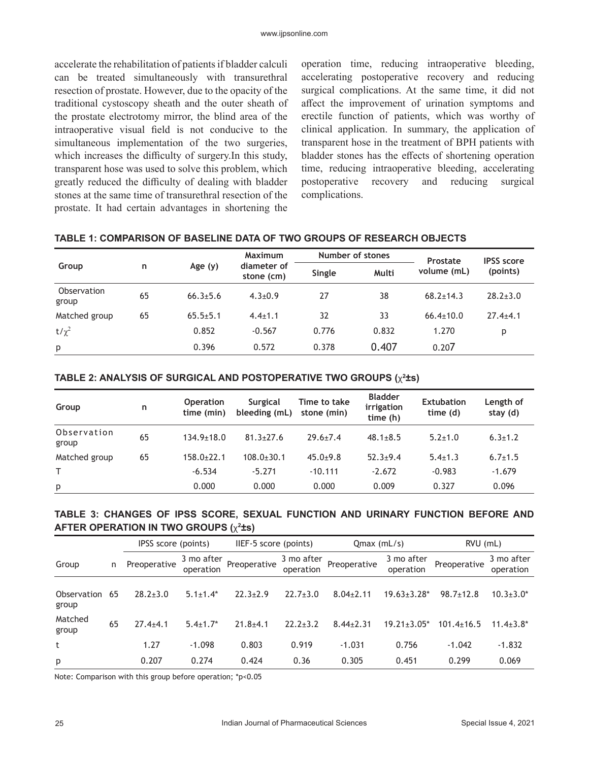accelerate the rehabilitation of patients if bladder calculi can be treated simultaneously with transurethral resection of prostate. However, due to the opacity of the traditional cystoscopy sheath and the outer sheath of the prostate electrotomy mirror, the blind area of the intraoperative visual field is not conducive to the simultaneous implementation of the two surgeries, which increases the difficulty of surgery.In this study, transparent hose was used to solve this problem, which greatly reduced the difficulty of dealing with bladder stones at the same time of transurethral resection of the prostate. It had certain advantages in shortening the

operation time, reducing intraoperative bleeding, accelerating postoperative recovery and reducing surgical complications. At the same time, it did not affect the improvement of urination symptoms and erectile function of patients, which was worthy of clinical application. In summary, the application of transparent hose in the treatment of BPH patients with bladder stones has the effects of shortening operation time, reducing intraoperative bleeding, accelerating postoperative recovery and reducing surgical complications.

|                      |    |                | <b>Maximum</b>            |        | Number of stones | Prostate        | <b>IPSS</b> score<br>(points) |
|----------------------|----|----------------|---------------------------|--------|------------------|-----------------|-------------------------------|
| Group                | n  | Age $(y)$      | diameter of<br>stone (cm) | Single | Multi            | volume (mL)     |                               |
| Observation<br>group | 65 | $66.3 \pm 5.6$ | $4.3 \pm 0.9$             | 27     | 38               | $68.2 \pm 14.3$ | $28.2 + 3.0$                  |
| Matched group        | 65 | $65.5 \pm 5.1$ | $4.4 \pm 1.1$             | 32     | 33               | $66.4 \pm 10.0$ | $27.4 + 4.1$                  |
| $t/\chi^2$           |    | 0.852          | $-0.567$                  | 0.776  | 0.832            | 1.270           | p                             |
| p                    |    | 0.396          | 0.572                     | 0.378  | 0.407            | 0.207           |                               |

## **TABLE 1: COMPARISON OF BASELINE DATA OF TWO GROUPS OF RESEARCH OBJECTS**

#### **TABLE 2: ANALYSIS OF SURGICAL AND POSTOPERATIVE TWO GROUPS (**χ**<sup>2</sup> ±s)**

| Group                | n  | <b>Operation</b><br>time (min) | <b>Surgical</b><br>bleeding (mL) | Time to take<br>stone (min) | <b>Bladder</b><br>irrigation<br>time (h) | <b>Extubation</b><br>time (d) | Length of<br>stay (d) |
|----------------------|----|--------------------------------|----------------------------------|-----------------------------|------------------------------------------|-------------------------------|-----------------------|
| Observation<br>group | 65 | $134.9 \pm 18.0$               | $81.3 \pm 27.6$                  | $29.6 \pm 7.4$              | $48.1 \pm 8.5$                           | $5.2 + 1.0$                   | $6.3 \pm 1.2$         |
| Matched group        | 65 | $158.0+22.1$                   | $108.0 + 30.1$                   | $45.0+9.8$                  | $52.3 + 9.4$                             | $5.4 \pm 1.3$                 | $6.7 \pm 1.5$         |
|                      |    | $-6.534$                       | $-5.271$                         | $-10.111$                   | $-2.672$                                 | $-0.983$                      | $-1.679$              |
| p                    |    | 0.000                          | 0.000                            | 0.000                       | 0.009                                    | 0.327                         | 0.096                 |

## **TABLE 3: CHANGES OF IPSS SCORE, SEXUAL FUNCTION AND URINARY FUNCTION BEFORE AND AFTER OPERATION IN TWO GROUPS (**χ**<sup>2</sup> ±s)**

|                      |    | IPSS score (points) |                         | IIEF-5 score (points) |                         | $Qmax$ (mL/s)   |                         | $RVU$ (mL)       |                         |
|----------------------|----|---------------------|-------------------------|-----------------------|-------------------------|-----------------|-------------------------|------------------|-------------------------|
| Group                | n  | Preoperative        | 3 mo after<br>operation | Preoperative          | 3 mo after<br>operation | Preoperative    | 3 mo after<br>operation | Preoperative     | 3 mo after<br>operation |
| Observation<br>group | 65 | $28.2 \pm 3.0$      | $5.1 \pm 1.4^*$         | $22.3 \pm 2.9$        | $22.7 \pm 3.0$          | $8.04 \pm 2.11$ | $19.63 \pm 3.28^*$      | $98.7 \pm 12.8$  | $10.3 \pm 3.0*$         |
| Matched<br>group     | 65 | $27.4 + 4.1$        | $5.4 \pm 1.7^*$         | $21.8 + 4.1$          | $22.2 \pm 3.2$          | $8.44 \pm 2.31$ | $19.21 \pm 3.05^*$      | $101.4 \pm 16.5$ | $11.4 \pm 3.8^*$        |
| t                    |    | 1.27                | $-1.098$                | 0.803                 | 0.919                   | $-1.031$        | 0.756                   | $-1.042$         | $-1.832$                |
| p                    |    | 0.207               | 0.274                   | 0.424                 | 0.36                    | 0.305           | 0.451                   | 0.299            | 0.069                   |

Note: Comparison with this group before operation; \*p<0.05